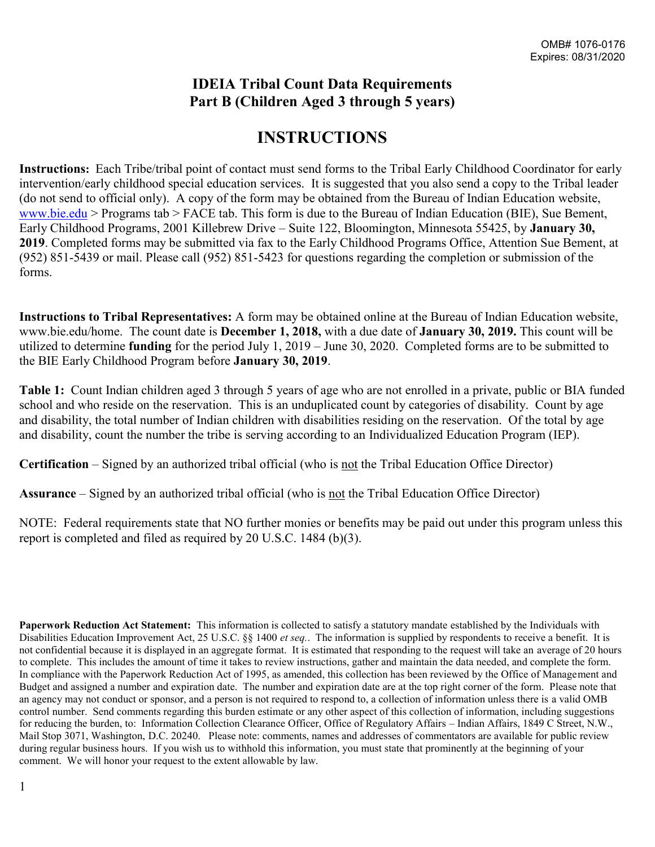#### **IDEIA Tribal Count Data Requirements Part B (Children Aged 3 through 5 years)**

## **INSTRUCTIONS**

**Instructions:** Each Tribe/tribal point of contact must send forms to the Tribal Early Childhood Coordinator for early intervention/early childhood special education services. It is suggested that you also send a copy to the Tribal leader (do not send to official only). A copy of the form may be obtained from the Bureau of Indian Education website, [www.bie.edu](http://www.bie.edu/) > Programs tab > FACE tab. This form is due to the Bureau of Indian Education (BIE), Sue Bement, Early Childhood Programs, 2001 Killebrew Drive – Suite 122, Bloomington, Minnesota 55425, by **January 30, 2019**. Completed forms may be submitted via fax to the Early Childhood Programs Office, Attention Sue Bement, at (952) 851-5439 or mail. Please call (952) 851-5423 for questions regarding the completion or submission of the forms.

**Instructions to Tribal Representatives:** A form may be obtained online at the Bureau of Indian Education website, www.bie.edu/home. The count date is **December 1, 2018,** with a due date of **January 30, 2019.** This count will be utilized to determine **funding** for the period July 1, 2019 – June 30, 2020. Completed forms are to be submitted to the BIE Early Childhood Program before **January 30, 2019**.

**Table 1:** Count Indian children aged 3 through 5 years of age who are not enrolled in a private, public or BIA funded school and who reside on the reservation. This is an unduplicated count by categories of disability. Count by age and disability, the total number of Indian children with disabilities residing on the reservation. Of the total by age and disability, count the number the tribe is serving according to an Individualized Education Program (IEP).

**Certification** – Signed by an authorized tribal official (who is not the Tribal Education Office Director)

**Assurance** – Signed by an authorized tribal official (who is not the Tribal Education Office Director)

NOTE: Federal requirements state that NO further monies or benefits may be paid out under this program unless this report is completed and filed as required by 20 U.S.C. 1484 (b)(3).

**Paperwork Reduction Act Statement:** This information is collected to satisfy a statutory mandate established by the Individuals with Disabilities Education Improvement Act, 25 U.S.C. §§ 1400 *et seq.*. The information is supplied by respondents to receive a benefit. It is not confidential because it is displayed in an aggregate format. It is estimated that responding to the request will take an average of 20 hours to complete. This includes the amount of time it takes to review instructions, gather and maintain the data needed, and complete the form. In compliance with the Paperwork Reduction Act of 1995, as amended, this collection has been reviewed by the Office of Management and Budget and assigned a number and expiration date. The number and expiration date are at the top right corner of the form. Please note that an agency may not conduct or sponsor, and a person is not required to respond to, a collection of information unless there is a valid OMB control number. Send comments regarding this burden estimate or any other aspect of this collection of information, including suggestions for reducing the burden, to: Information Collection Clearance Officer, Office of Regulatory Affairs – Indian Affairs, 1849 C Street, N.W., Mail Stop 3071, Washington, D.C. 20240. Please note: comments, names and addresses of commentators are available for public review during regular business hours. If you wish us to withhold this information, you must state that prominently at the beginning of your comment. We will honor your request to the extent allowable by law.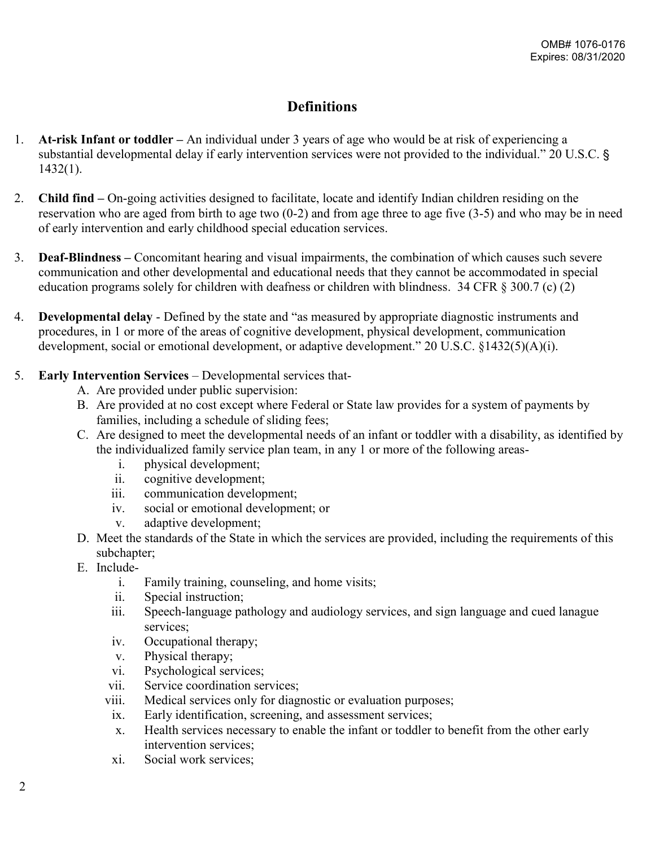#### **Definitions**

- 1. **At-risk Infant or toddler –** An individual under 3 years of age who would be at risk of experiencing a substantial developmental delay if early intervention services were not provided to the individual." 20 U.S.C. § 1432(1).
- 2. **Child find –** On-going activities designed to facilitate, locate and identify Indian children residing on the reservation who are aged from birth to age two (0-2) and from age three to age five (3-5) and who may be in need of early intervention and early childhood special education services.
- 3. **Deaf-Blindness –** Concomitant hearing and visual impairments, the combination of which causes such severe communication and other developmental and educational needs that they cannot be accommodated in special education programs solely for children with deafness or children with blindness. 34 CFR § 300.7 (c) (2)
- 4. **Developmental delay**  Defined by the state and "as measured by appropriate diagnostic instruments and procedures, in 1 or more of the areas of cognitive development, physical development, communication development, social or emotional development, or adaptive development." 20 U.S.C. §1432(5)(A)(i).
- 5. **Early Intervention Services** Developmental services that-
	- A. Are provided under public supervision:
	- B. Are provided at no cost except where Federal or State law provides for a system of payments by families, including a schedule of sliding fees;
	- C. Are designed to meet the developmental needs of an infant or toddler with a disability, as identified by the individualized family service plan team, in any 1 or more of the following areas
		- i. physical development;
		- ii. cognitive development;
		- iii. communication development;
		- iv. social or emotional development; or
		- v. adaptive development;
	- D. Meet the standards of the State in which the services are provided, including the requirements of this subchapter;
	- E. Include
		- i. Family training, counseling, and home visits;
		- ii. Special instruction;
		- iii. Speech-language pathology and audiology services, and sign language and cued lanague services;
		- iv. Occupational therapy;
		- v. Physical therapy;
		- vi. Psychological services;
		- vii. Service coordination services;
		- viii. Medical services only for diagnostic or evaluation purposes;
		- ix. Early identification, screening, and assessment services;
		- x. Health services necessary to enable the infant or toddler to benefit from the other early intervention services;
		- xi. Social work services;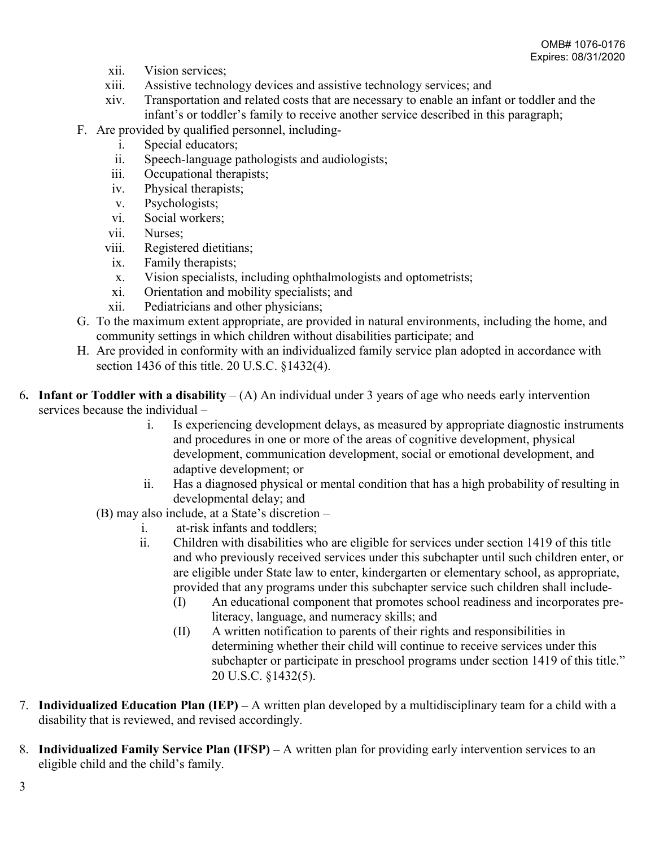- xii. Vision services;
- xiii. Assistive technology devices and assistive technology services; and
- xiv. Transportation and related costs that are necessary to enable an infant or toddler and the infant's or toddler's family to receive another service described in this paragraph;
- F. Are provided by qualified personnel, including
	- i. Special educators;
	- ii. Speech-language pathologists and audiologists;
	- iii. Occupational therapists;
	- iv. Physical therapists;
	- v. Psychologists;
	- vi. Social workers;
	- vii. Nurses;
	- viii. Registered dietitians;
		- ix. Family therapists;
		- x. Vision specialists, including ophthalmologists and optometrists;
		- xi. Orientation and mobility specialists; and
	- xii. Pediatricians and other physicians;
- G. To the maximum extent appropriate, are provided in natural environments, including the home, and community settings in which children without disabilities participate; and
- H. Are provided in conformity with an individualized family service plan adopted in accordance with section 1436 of this title. 20 U.S.C. §1432(4).
- 6**. Infant or Toddler with a disability** (A) An individual under 3 years of age who needs early intervention services because the individual –
	- i. Is experiencing development delays, as measured by appropriate diagnostic instruments and procedures in one or more of the areas of cognitive development, physical development, communication development, social or emotional development, and adaptive development; or
	- ii. Has a diagnosed physical or mental condition that has a high probability of resulting in developmental delay; and
	- (B) may also include, at a State's discretion
		- i. at-risk infants and toddlers;
		- ii. Children with disabilities who are eligible for services under section 1419 of this title and who previously received services under this subchapter until such children enter, or are eligible under State law to enter, kindergarten or elementary school, as appropriate, provided that any programs under this subchapter service such children shall include-
			- (I) An educational component that promotes school readiness and incorporates preliteracy, language, and numeracy skills; and
			- (II) A written notification to parents of their rights and responsibilities in determining whether their child will continue to receive services under this subchapter or participate in preschool programs under section 1419 of this title." 20 U.S.C. §1432(5).
- 7. **Individualized Education Plan (IEP) –** A written plan developed by a multidisciplinary team for a child with a disability that is reviewed, and revised accordingly.
- 8. **Individualized Family Service Plan (IFSP) –** A written plan for providing early intervention services to an eligible child and the child's family.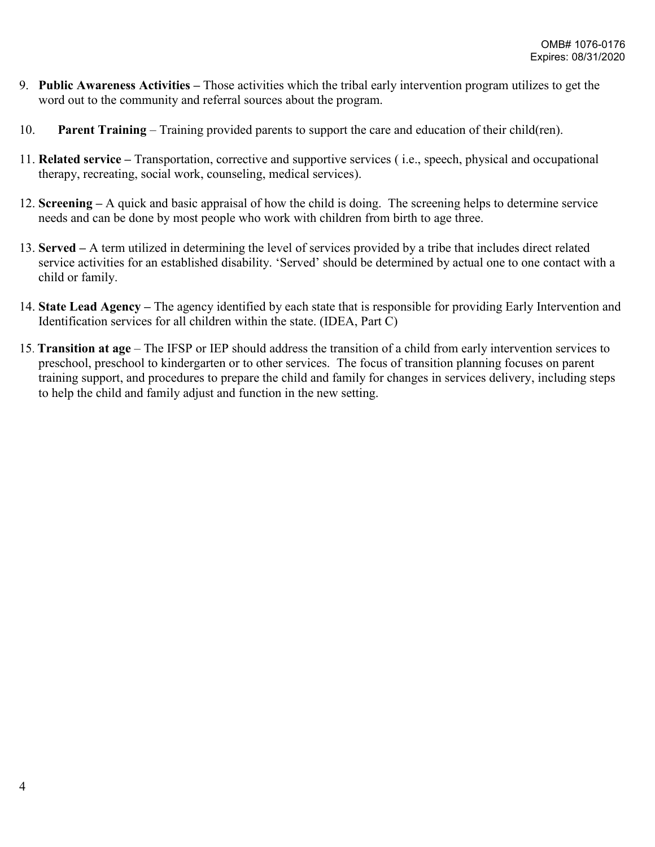- 9. **Public Awareness Activities –** Those activities which the tribal early intervention program utilizes to get the word out to the community and referral sources about the program.
- 10. **Parent Training** Training provided parents to support the care and education of their child(ren).
- 11. **Related service –** Transportation, corrective and supportive services ( i.e., speech, physical and occupational therapy, recreating, social work, counseling, medical services).
- 12. **Screening –** A quick and basic appraisal of how the child is doing. The screening helps to determine service needs and can be done by most people who work with children from birth to age three.
- 13. **Served –** A term utilized in determining the level of services provided by a tribe that includes direct related service activities for an established disability. 'Served' should be determined by actual one to one contact with a child or family.
- 14. **State Lead Agency –** The agency identified by each state that is responsible for providing Early Intervention and Identification services for all children within the state. (IDEA, Part C)
- 15. **Transition at age** The IFSP or IEP should address the transition of a child from early intervention services to preschool, preschool to kindergarten or to other services. The focus of transition planning focuses on parent training support, and procedures to prepare the child and family for changes in services delivery, including steps to help the child and family adjust and function in the new setting.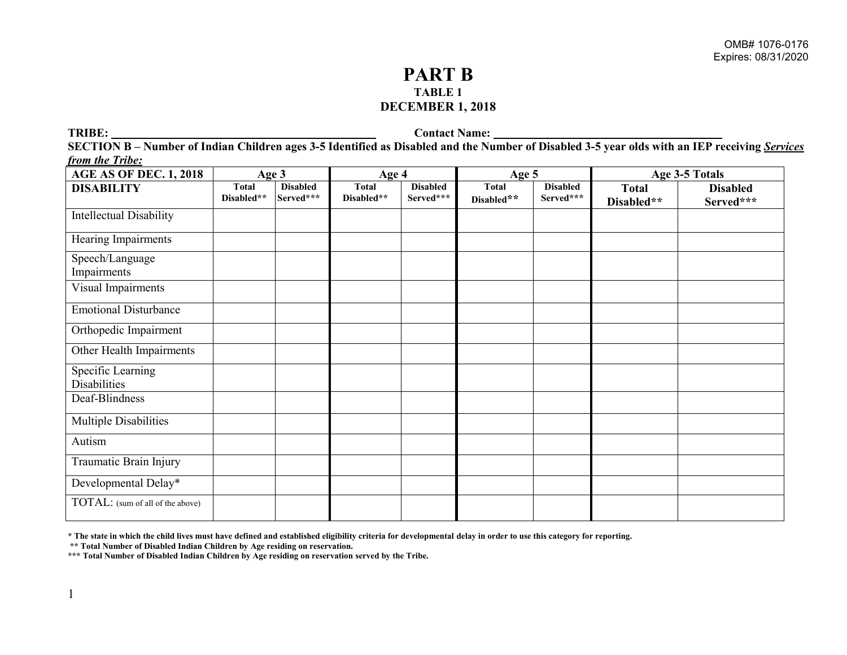#### **PART B TABLE 1 DECEMBER 1, 2018**

**TRIBE:** Contact Name:

**SECTION B – Number of Indian Children ages 3-5 Identified as Disabled and the Number of Disabled 3-5 year olds with an IEP receiving** *Services from the Tribe:*

| <b>AGE AS OF DEC. 1, 2018</b>            | Age 3                      |                              | Age 4                      |                              | Age $5$                    |                              | Age 3-5 Totals             |                              |
|------------------------------------------|----------------------------|------------------------------|----------------------------|------------------------------|----------------------------|------------------------------|----------------------------|------------------------------|
| <b>DISABILITY</b>                        | <b>Total</b><br>Disabled** | <b>Disabled</b><br>Served*** | <b>Total</b><br>Disabled** | <b>Disabled</b><br>Served*** | <b>Total</b><br>Disabled** | <b>Disabled</b><br>Served*** | <b>Total</b><br>Disabled** | <b>Disabled</b><br>Served*** |
| <b>Intellectual Disability</b>           |                            |                              |                            |                              |                            |                              |                            |                              |
| Hearing Impairments                      |                            |                              |                            |                              |                            |                              |                            |                              |
| Speech/Language<br>Impairments           |                            |                              |                            |                              |                            |                              |                            |                              |
| Visual Impairments                       |                            |                              |                            |                              |                            |                              |                            |                              |
| <b>Emotional Disturbance</b>             |                            |                              |                            |                              |                            |                              |                            |                              |
| Orthopedic Impairment                    |                            |                              |                            |                              |                            |                              |                            |                              |
| Other Health Impairments                 |                            |                              |                            |                              |                            |                              |                            |                              |
| Specific Learning<br><b>Disabilities</b> |                            |                              |                            |                              |                            |                              |                            |                              |
| Deaf-Blindness                           |                            |                              |                            |                              |                            |                              |                            |                              |
| <b>Multiple Disabilities</b>             |                            |                              |                            |                              |                            |                              |                            |                              |
| Autism                                   |                            |                              |                            |                              |                            |                              |                            |                              |
| Traumatic Brain Injury                   |                            |                              |                            |                              |                            |                              |                            |                              |
| Developmental Delay*                     |                            |                              |                            |                              |                            |                              |                            |                              |
| TOTAL: (sum of all of the above)         |                            |                              |                            |                              |                            |                              |                            |                              |

**\* The state in which the child lives must have defined and established eligibility criteria for developmental delay in order to use this category for reporting.**

**\*\* Total Number of Disabled Indian Children by Age residing on reservation.**

**\*\*\* Total Number of Disabled Indian Children by Age residing on reservation served by the Tribe.**